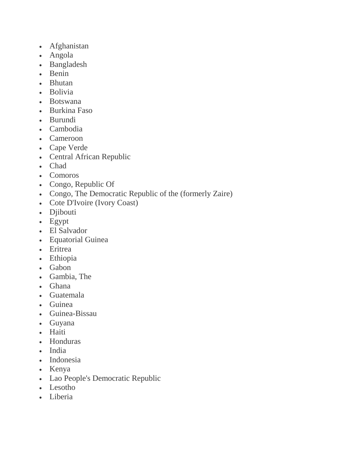- Afghanistan
- Angola
- Bangladesh
- Benin
- Bhutan
- Bolivia
- Botswana
- Burkina Faso
- Burundi
- Cambodia
- Cameroon
- Cape Verde
- Central African Republic
- Chad
- Comoros
- Congo, Republic Of
- Congo, The Democratic Republic of the (formerly Zaire)
- Cote D'Ivoire (Ivory Coast)
- Djibouti
- Egypt
- El Salvador
- Equatorial Guinea
- Eritrea
- Ethiopia
- Gabon
- Gambia, The
- Ghana
- Guatemala
- Guinea
- Guinea-Bissau
- Guyana
- Haiti
- Honduras
- India
- Indonesia
- Kenya
- Lao People's Democratic Republic
- Lesotho
- Liberia